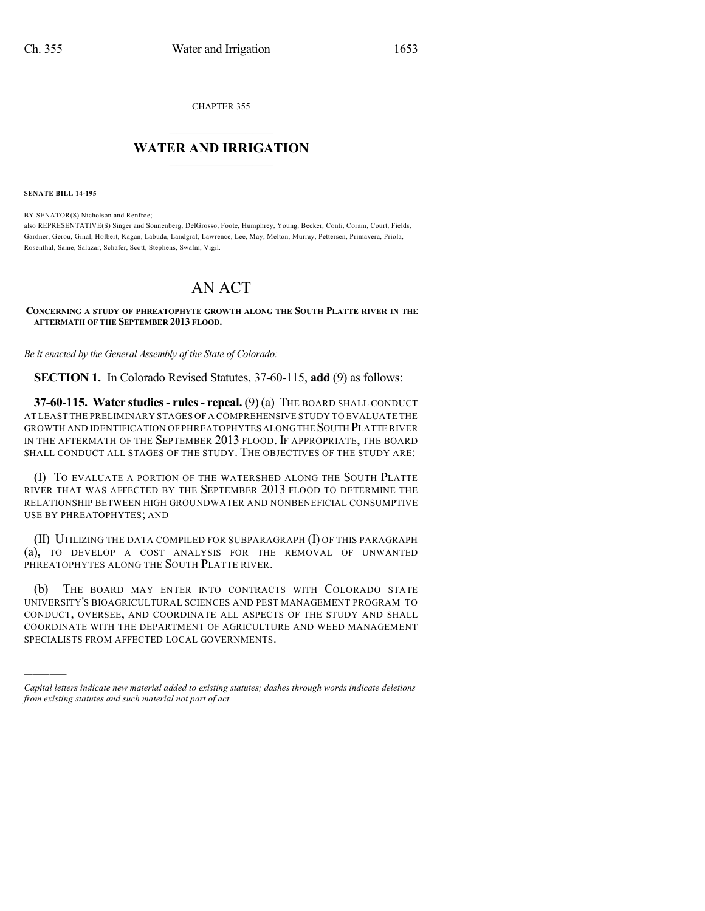CHAPTER 355

## $\overline{\phantom{a}}$  . The set of the set of the set of the set of the set of the set of the set of the set of the set of the set of the set of the set of the set of the set of the set of the set of the set of the set of the set o **WATER AND IRRIGATION**  $\_$   $\_$

**SENATE BILL 14-195**

)))))

BY SENATOR(S) Nicholson and Renfroe; also REPRESENTATIVE(S) Singer and Sonnenberg, DelGrosso, Foote, Humphrey, Young, Becker, Conti, Coram, Court, Fields, Gardner, Gerou, Ginal, Holbert, Kagan, Labuda, Landgraf, Lawrence, Lee, May, Melton, Murray, Pettersen, Primavera, Priola, Rosenthal, Saine, Salazar, Schafer, Scott, Stephens, Swalm, Vigil.

## AN ACT

## **CONCERNING A STUDY OF PHREATOPHYTE GROWTH ALONG THE SOUTH PLATTE RIVER IN THE AFTERMATH OF THE SEPTEMBER 2013 FLOOD.**

*Be it enacted by the General Assembly of the State of Colorado:*

**SECTION 1.** In Colorado Revised Statutes, 37-60-115, **add** (9) as follows:

**37-60-115. Water studies- rules- repeal.** (9) (a) THE BOARD SHALL CONDUCT AT LEAST THE PRELIMINARY STAGES OF A COMPREHENSIVE STUDY TO EVALUATE THE GROWTH AND IDENTIFICATION OF PHREATOPHYTES ALONGTHE SOUTH PLATTE RIVER IN THE AFTERMATH OF THE SEPTEMBER 2013 FLOOD. IF APPROPRIATE, THE BOARD SHALL CONDUCT ALL STAGES OF THE STUDY. THE OBJECTIVES OF THE STUDY ARE:

(I) TO EVALUATE A PORTION OF THE WATERSHED ALONG THE SOUTH PLATTE RIVER THAT WAS AFFECTED BY THE SEPTEMBER 2013 FLOOD TO DETERMINE THE RELATIONSHIP BETWEEN HIGH GROUNDWATER AND NONBENEFICIAL CONSUMPTIVE USE BY PHREATOPHYTES; AND

(II) UTILIZING THE DATA COMPILED FOR SUBPARAGRAPH (I) OF THIS PARAGRAPH (a), TO DEVELOP A COST ANALYSIS FOR THE REMOVAL OF UNWANTED PHREATOPHYTES ALONG THE SOUTH PLATTE RIVER.

(b) THE BOARD MAY ENTER INTO CONTRACTS WITH COLORADO STATE UNIVERSITY'S BIOAGRICULTURAL SCIENCES AND PEST MANAGEMENT PROGRAM TO CONDUCT, OVERSEE, AND COORDINATE ALL ASPECTS OF THE STUDY AND SHALL COORDINATE WITH THE DEPARTMENT OF AGRICULTURE AND WEED MANAGEMENT SPECIALISTS FROM AFFECTED LOCAL GOVERNMENTS.

*Capital letters indicate new material added to existing statutes; dashes through words indicate deletions from existing statutes and such material not part of act.*